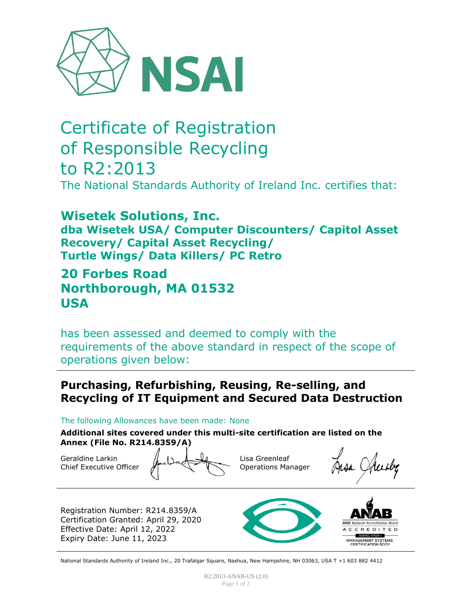

# Certificate of Registration of Responsible Recycling to R2:2013 The National Standards Authority of Ireland Inc. certifies that:

**Wisetek Solutions, Inc. dba Wisetek USA/ Computer Discounters/ Capitol Asset Recovery/ Capital Asset Recycling/ Turtle Wings/ Data Killers/ PC Retro**

# **20 Forbes Road Northborough, MA 01532 USA**

has been assessed and deemed to comply with the requirements of the above standard in respect of the scope of operations given below:

## **Purchasing, Refurbishing, Reusing, Re-selling, and Recycling of IT Equipment and Secured Data Destruction**

The following Allowances have been made: None

**Additional sites covered under this multi-site certification are listed on the Annex (File No. R214.8359/A)**

Geraldine Larkin Chief Executive Officer

Lisa Greenleaf Operations Manager

Registration Number: R214.8359/A Certification Granted: April 29, 2020 Effective Date: April 12, 2022 Expiry Date: June 11, 2023



**ANSI** National Accreditation Board A C C R E D I T E D  $-$  ISO/IEC I702I-I MANAGEMENT SYSTEMS<br>CERTIFICATION BODY

National Standards Authority of Ireland Inc., 20 Trafalgar Square, Nashua, New Hampshire, NH 03063, USA T +1 603 882 4412